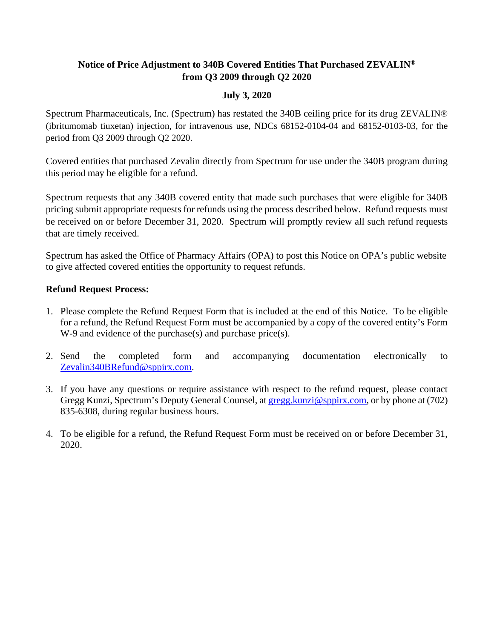## **Notice of Price Adjustment to 340B Covered Entities That Purchased ZEVALIN® from Q3 2009 through Q2 2020**

## **July 3, 2020**

Spectrum Pharmaceuticals, Inc. (Spectrum) has restated the 340B ceiling price for its drug ZEVALIN® (ibritumomab tiuxetan) injection, for intravenous use, NDCs 68152-0104-04 and 68152-0103-03, for the period from Q3 2009 through Q2 2020.

Covered entities that purchased Zevalin directly from Spectrum for use under the 340B program during this period may be eligible for a refund.

Spectrum requests that any 340B covered entity that made such purchases that were eligible for 340B pricing submit appropriate requests for refunds using the process described below. Refund requests must be received on or before December 31, 2020. Spectrum will promptly review all such refund requests that are timely received.

Spectrum has asked the Office of Pharmacy Affairs (OPA) to post this Notice on OPA's public website to give affected covered entities the opportunity to request refunds.

## **Refund Request Process:**

- 1. Please complete the Refund Request Form that is included at the end of this Notice. To be eligible for a refund, the Refund Request Form must be accompanied by a copy of the covered entity's Form W-9 and evidence of the purchase $(s)$  and purchase price $(s)$ .
- 2. Send the completed form and accompanying documentation electronically to [Zevalin340BRefund@sppirx.com.](mailto:Zevalin340BRefund@sppirx.com)
- 3. If you have any questions or require assistance with respect to the refund request, please contact Gregg Kunzi, Spectrum's Deputy General Counsel, a[t gregg.kunzi@sppirx.com,](mailto:gregg.kunzi@sppirx.com) or by phone at (702) 835-6308, during regular business hours.
- 4. To be eligible for a refund, the Refund Request Form must be received on or before December 31, 2020.